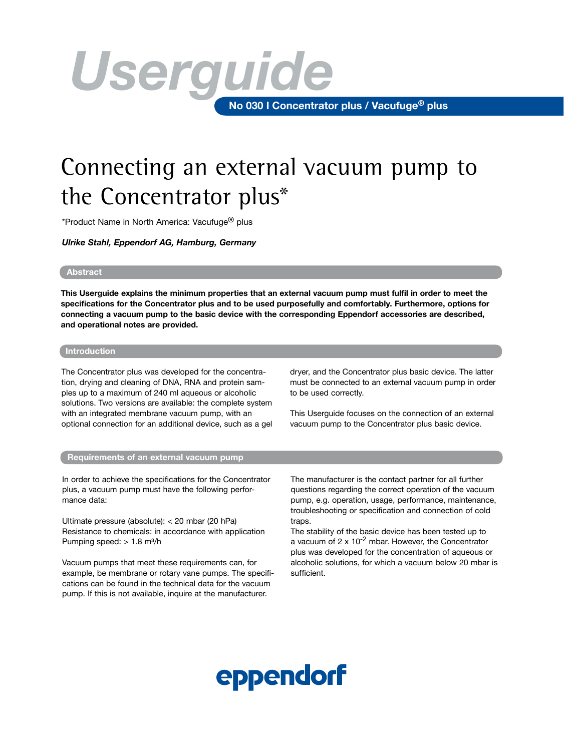# **No 030 I Concentrator plus / Vacufuge® plus** *Userguide*

### Connecting an external vacuum pump to the Concentrator plus\*

\*Product Name in North America: Vacufuge® plus

*Ulrike Stahl, Eppendorf AG, Hamburg, Germany*

#### **Abstract**

**This Userguide explains the minimum properties that an external vacuum pump must fulfil in order to meet the specifications for the Concentrator plus and to be used purposefully and comfortably. Furthermore, options for connecting a vacuum pump to the basic device with the corresponding Eppendorf accessories are described, and operational notes are provided.** 

#### **Introduction**

The Concentrator plus was developed for the concentration, drying and cleaning of DNA, RNA and protein samples up to a maximum of 240 ml aqueous or alcoholic solutions. Two versions are available: the complete system with an integrated membrane vacuum pump, with an optional connection for an additional device, such as a gel dryer, and the Concentrator plus basic device. The latter must be connected to an external vacuum pump in order to be used correctly.

This Userguide focuses on the connection of an external vacuum pump to the Concentrator plus basic device.

#### **Requirements of an external vacuum pump**

In order to achieve the specifications for the Concentrator plus, a vacuum pump must have the following performance data:

Ultimate pressure (absolute): < 20 mbar (20 hPa) Resistance to chemicals: in accordance with application Pumping speed: > 1.8 m<sup>3</sup>/h

Vacuum pumps that meet these requirements can, for example, be membrane or rotary vane pumps. The specifications can be found in the technical data for the vacuum pump. If this is not available, inquire at the manufacturer.

The manufacturer is the contact partner for all further questions regarding the correct operation of the vacuum pump, e.g. operation, usage, performance, maintenance, troubleshooting or specification and connection of cold traps.

The stability of the basic device has been tested up to a vacuum of  $2 \times 10^{-2}$  mbar. However, the Concentrator plus was developed for the concentration of aqueous or alcoholic solutions, for which a vacuum below 20 mbar is sufficient.

## eppendorf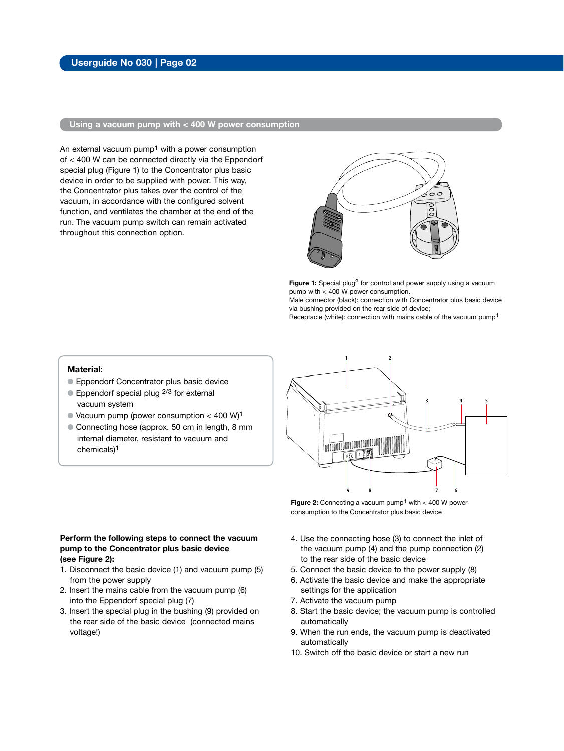#### **Using a vacuum pump with < 400 W power consumption**

An external vacuum  $pump<sup>1</sup>$  with a power consumption of < 400 W can be connected directly via the Eppendorf special plug (Figure 1) to the Concentrator plus basic device in order to be supplied with power. This way, the Concentrator plus takes over the control of the vacuum, in accordance with the configured solvent function, and ventilates the chamber at the end of the run. The vacuum pump switch can remain activated throughout this connection option.



Figure 1: Special plug<sup>2</sup> for control and power supply using a vacuum pump with < 400 W power consumption.

Male connector (black): connection with Concentrator plus basic device via bushing provided on the rear side of device;

Receptacle (white): connection with mains cable of the vacuum pump1

#### **Material:**

- **Eppendorf Concentrator plus basic device**
- $\bullet$  Eppendorf special plug  $2/3$  for external vacuum system
- $\bullet$  Vacuum pump (power consumption < 400 W)<sup>1</sup>
- Connecting hose (approx. 50 cm in length, 8 mm internal diameter, resistant to vacuum and chemicals)1

#### **Perform the following steps to connect the vacuum pump to the Concentrator plus basic device (see Figure 2):**

- 1. Disconnect the basic device (1) and vacuum pump (5) from the power supply
- 2. Insert the mains cable from the vacuum pump (6) into the Eppendorf special plug (7)
- 3. Insert the special plug in the bushing (9) provided on the rear side of the basic device (connected mains voltage!)



**Figure 2:** Connecting a vacuum pump<sup>1</sup> with < 400 W power consumption to the Concentrator plus basic device

- 4. Use the connecting hose (3) to connect the inlet of the vacuum pump (4) and the pump connection (2) to the rear side of the basic device
- 5. Connect the basic device to the power supply (8)
- 6. Activate the basic device and make the appropriate settings for the application
- 7. Activate the vacuum pump
- 7. Activate the vacuum pump<br>8. Start the basic device; the vacuum pump is controlled automatically
- 9. When the run ends, the vacuum pump is deactivated automatically
- 10. Switch off the basic device or start a new run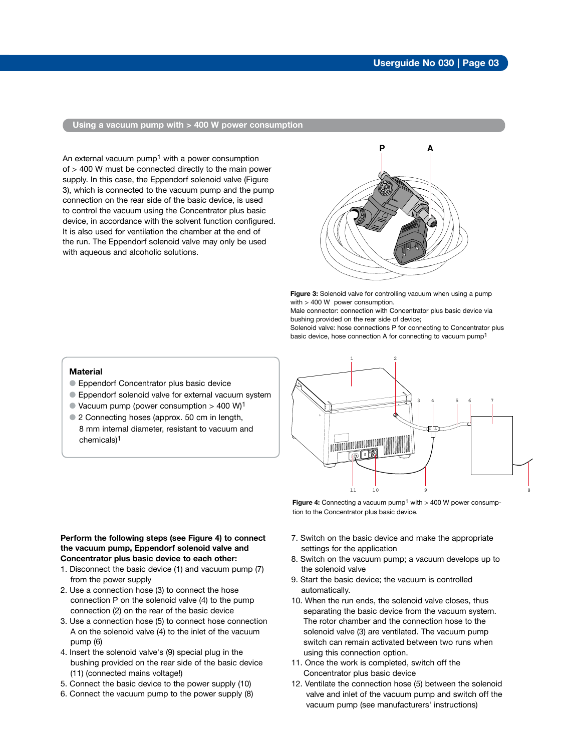#### **Using a vacuum pump with > 400 W power consumption**

An external vacuum pump<sup>1</sup> with a power consumption of > 400 W must be connected directly to the main power supply. In this case, the Eppendorf solenoid valve (Figure 3), which is connected to the vacuum pump and the pump connection on the rear side of the basic device, is used to control the vacuum using the Concentrator plus basic device, in accordance with the solvent function configured. It is also used for ventilation the chamber at the end of the run. The Eppendorf solenoid valve may only be used with aqueous and alcoholic solutions.



**Figure 3:** Solenoid valve for controlling vacuum when using a pump with > 400 W power consumption.

Male connector: connection with Concentrator plus basic device via bushing provided on the rear side of device;

Solenoid valve: hose connections P for connecting to Concentrator plus basic device, hose connection A for connecting to vacuum pump1

#### **Material**

- **Eppendorf Concentrator plus basic device**
- Eppendorf solenoid valve for external vacuum system
- $\bullet$  Vacuum pump (power consumption > 400 W)<sup>1</sup>
- 2 Connecting hoses (approx. 50 cm in length, 8 mm internal diameter, resistant to vacuum and chemicals)1



**Figure 4:** Connecting a vacuum pump<sup>1</sup> with > 400 W power consumption to the Concentrator plus basic device.

#### **Perform the following steps (see Figure 4) to connect the vacuum pump, Eppendorf solenoid valve and Concentrator plus basic device to each other:**

- 1. Disconnect the basic device (1) and vacuum pump (7) from the power supply
- connection P on the solenoid valve  $(4)$  to the pump 2. Use a connection hose (3) to connect the hose connection (2) on the rear of the basic device
- 3. Use a connection hose (5) to connect hose connection A on the solenoid valve (4) to the inlet of the vacuum pump (6)
- 4. Insert the solenoid valve's (9) special plug in the bushing provided on the rear side of the basic device (11) (connected mains voltage!)
- 5. Connect the basic device to the power supply (10)
- 6. Connect the vacuum pump to the power supply (8)
- 7. Switch on the basic device and make the appropriate settings for the application
- 8. Switch on the vacuum pump; a vacuum develops up to the solenoid valve
- 9. Start the basic device; the vacuum is controlled automatically.
- 10. When the run ends, the solenoid valve closes, thus separating the basic device from the vacuum system. The rotor chamber and the connection hose to the solenoid valve (3) are ventilated. The vacuum pump switch can remain activated between two runs when using this connection option.
- 3 4 5 6 7 Concentrator plus basic device 11. Once the work is completed, switch off the
- 12. Ventilate the connection hose (5) between the solenoid valve and inlet of the vacuum pump and switch off the vacuum pump (see manufacturers' instructions)